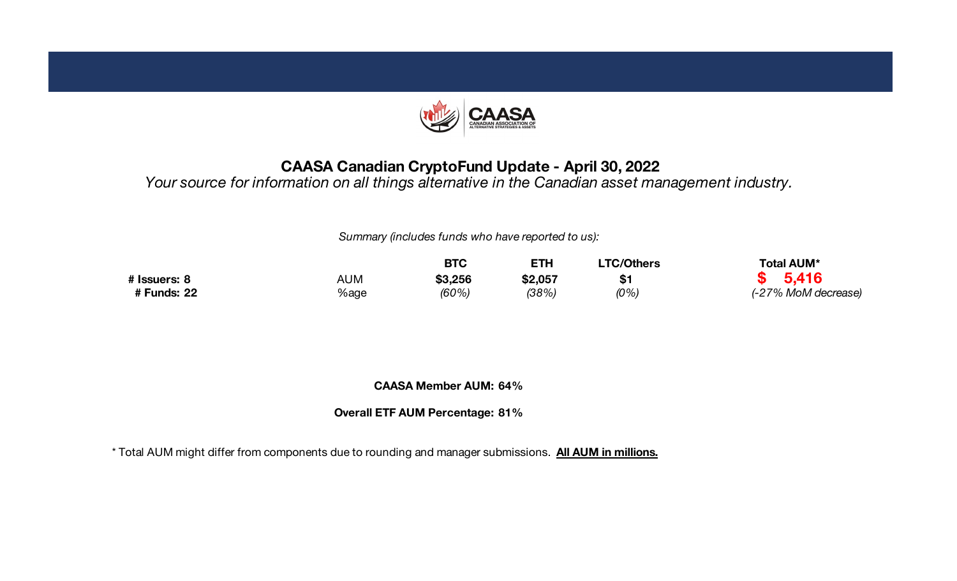

#### **CAASA Canadian CryptoFund Update - April 30, 2022**

*Your source for information on all things alternative in the Canadian asset management industry.*

*Summary (includes funds who have reported to us):*

|              |      | <b>BTC</b> |         | TC/Others | <b>Total AUM*</b>   |  |  |
|--------------|------|------------|---------|-----------|---------------------|--|--|
| # Issuers: 8 | AUM  | \$3,256    | \$2,057 | \$1       | 5,416               |  |  |
| # Funds: 22  | %age | (60%)      | (38%)   | (0%       | (-27% MoM decrease) |  |  |

**CAASA Member AUM: 64%**

**Overall ETF AUM Percentage: 81%**

\* Total AUM might differ from components due to rounding and manager submissions. **All AUM in millions.**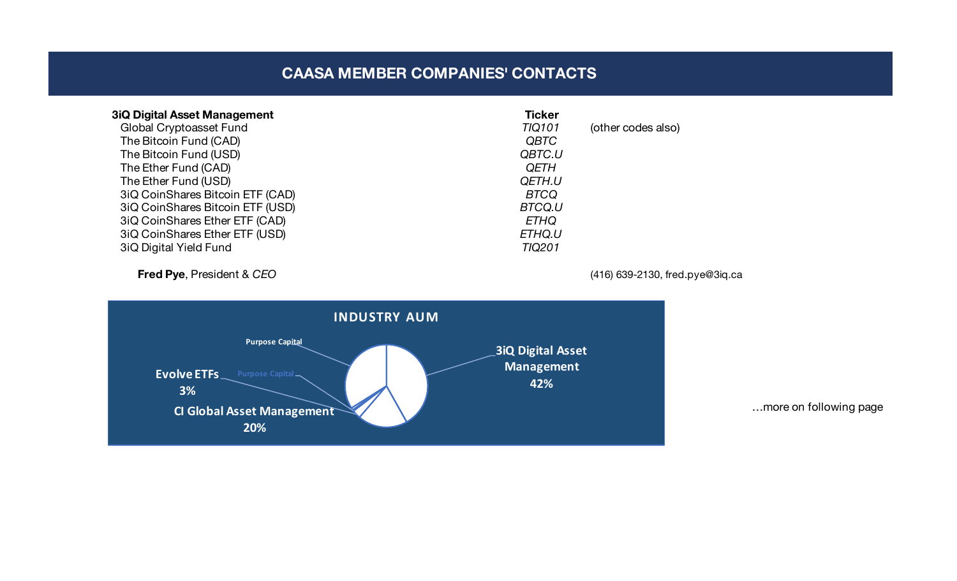### **CAASA MEMBER COMPANIES' CONTACTS**

| <b>3iQ Digital Asset Management</b> | <b>Ticker</b> |                    |
|-------------------------------------|---------------|--------------------|
| <b>Global Cryptoasset Fund</b>      | <b>TIQ101</b> | (other codes also) |
| The Bitcoin Fund (CAD)              | <b>QBTC</b>   |                    |
| The Bitcoin Fund (USD)              | QBTC.U        |                    |
| The Ether Fund (CAD)                | <b>QETH</b>   |                    |
| The Ether Fund (USD)                | QETH.U        |                    |
| 3iQ CoinShares Bitcoin ETF (CAD)    | <b>BTCQ</b>   |                    |
| 3iQ CoinShares Bitcoin ETF (USD)    | BTCQ.U        |                    |
| 3iQ CoinShares Ether ETF (CAD)      | <b>ETHQ</b>   |                    |
| 3iQ CoinShares Ether ETF (USD)      | ETHQ.U        |                    |
| 3iQ Digital Yield Fund              | <b>TIQ201</b> |                    |
|                                     |               |                    |

**Fred Pye**, President & *CEO* (416) 639-2130, fred.pye@3iq.ca



…more on following page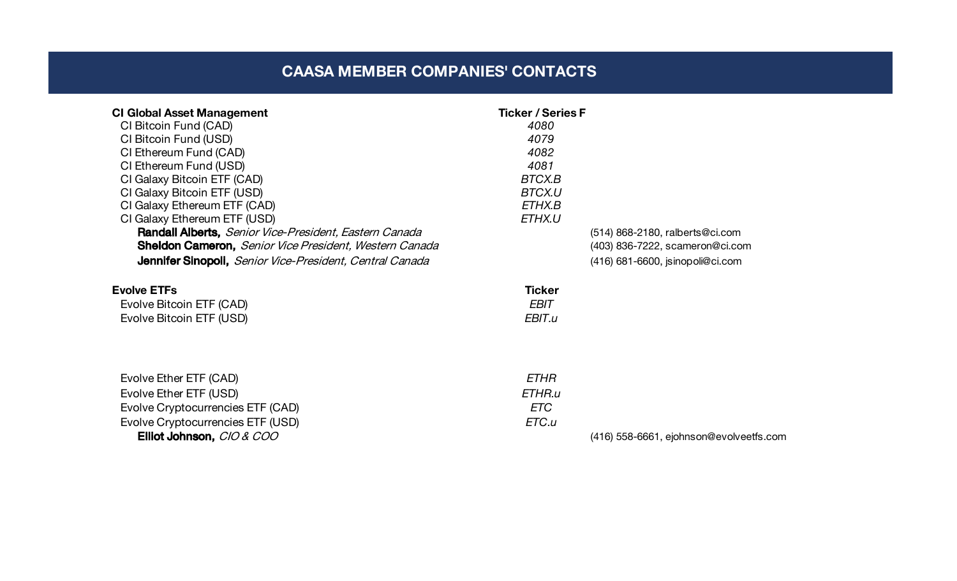# **CAASA MEMBER COMPANIES' CONTACTS**

| <b>CI Global Asset Management</b><br>CI Bitcoin Fund (CAD)<br>CI Bitcoin Fund (USD)<br>CI Ethereum Fund (CAD)<br>CI Ethereum Fund (USD)<br>CI Galaxy Bitcoin ETF (CAD)<br>CI Galaxy Bitcoin ETF (USD)<br>CI Galaxy Ethereum ETF (CAD)<br>CI Galaxy Ethereum ETF (USD)<br>Randall Alberts, Senior Vice-President, Eastern Canada | <b>Ticker / Series F</b><br>4080<br>4079<br>4082<br>4081<br>BTCX.B<br><b>BTCX.U</b><br>ETHX.B<br>ETHX.U | (514) 868-2180, ralberts@ci.com         |
|---------------------------------------------------------------------------------------------------------------------------------------------------------------------------------------------------------------------------------------------------------------------------------------------------------------------------------|---------------------------------------------------------------------------------------------------------|-----------------------------------------|
| Sheldon Cameron, Senior Vice President, Western Canada<br>Jennifer Sinopoli, Senior Vice-President, Central Canada                                                                                                                                                                                                              |                                                                                                         | (403) 836-7222, scameron@ci.com         |
| <b>Evolve ETFs</b><br>Evolve Bitcoin ETF (CAD)<br>Evolve Bitcoin ETF (USD)                                                                                                                                                                                                                                                      | <b>Ticker</b><br>EBIT<br>EBIT.u                                                                         | $(416)$ 681-6600, jsinopoli@ci.com      |
| Evolve Ether ETF (CAD)<br>Evolve Ether ETF (USD)<br>Evolve Cryptocurrencies ETF (CAD)<br>Evolve Cryptocurrencies ETF (USD)<br>Elliot Johnson, CIO & COO                                                                                                                                                                         | <b>ETHR</b><br>ETHR.u<br>ETC<br>ETC.u                                                                   | (416) 558-6661, ejohnson@evolveetfs.com |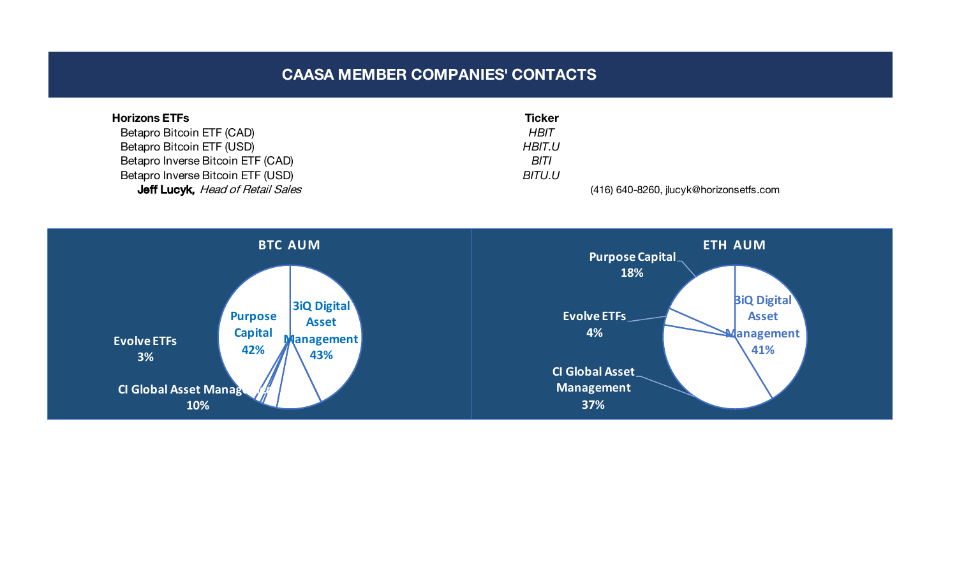## **CAASA MEMBER COMPANIES' CONTACTS**

| <b>Horizons ETFs</b>                    | <b>Ticker</b> |                                         |
|-----------------------------------------|---------------|-----------------------------------------|
| Betapro Bitcoin ETF (CAD)               | HBIT          |                                         |
| Betapro Bitcoin ETF (USD)               | <b>HBIT.U</b> |                                         |
| Betapro Inverse Bitcoin ETF (CAD)       | BITI          |                                         |
| Betapro Inverse Bitcoin ETF (USD)       | <b>BITU.U</b> |                                         |
| <b>Jeff Lucyk, Head of Retail Sales</b> |               | (416) 640-8260, jlucyk@horizonsetfs.com |

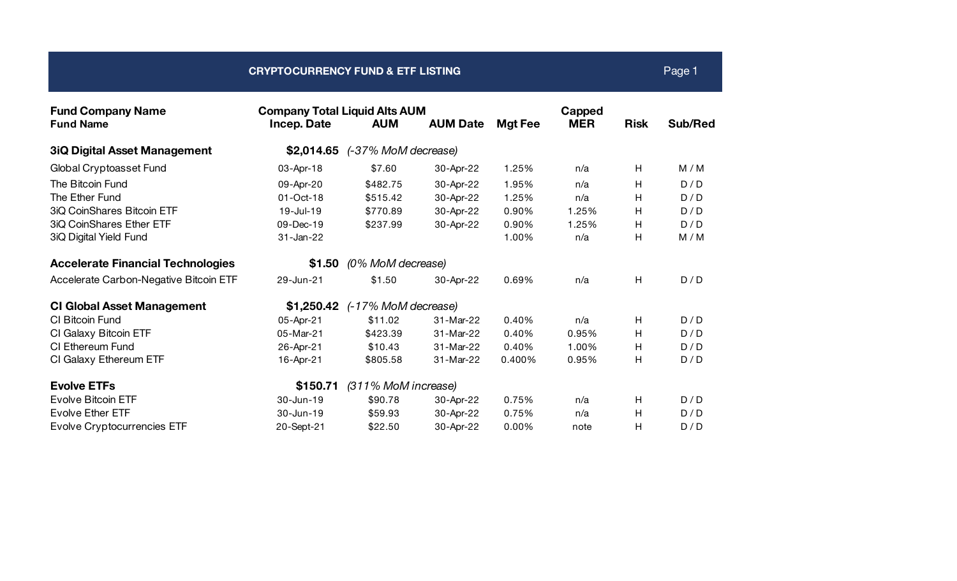| <b>CRYPTOCURRENCY FUND &amp; ETF LISTING</b> |                                                            |                     |                 |                |                      |             | Page 1  |
|----------------------------------------------|------------------------------------------------------------|---------------------|-----------------|----------------|----------------------|-------------|---------|
| <b>Fund Company Name</b><br><b>Fund Name</b> | <b>Company Total Liquid Alts AUM</b><br><b>Incep. Date</b> | <b>AUM</b>          | <b>AUM Date</b> | <b>Mgt Fee</b> | Capped<br><b>MER</b> | <b>Risk</b> | Sub/Red |
| <b>3iQ Digital Asset Management</b>          | \$2,014.65                                                 | (-37% MoM decrease) |                 |                |                      |             |         |
| Global Cryptoasset Fund                      | 03-Apr-18                                                  | \$7.60              | 30-Apr-22       | 1.25%          | n/a                  | H           | M/M     |
| The Bitcoin Fund                             | 09-Apr-20                                                  | \$482.75            | 30-Apr-22       | 1.95%          | n/a                  | Η           | D/D     |
| The Ether Fund                               | 01-Oct-18                                                  | \$515.42            | 30-Apr-22       | 1.25%          | n/a                  | Н           | D/D     |
| 3iQ CoinShares Bitcoin ETF                   | 19-Jul-19                                                  | \$770.89            | 30-Apr-22       | 0.90%          | 1.25%                | Н           | D/D     |
| 3iQ CoinShares Ether ETF                     | 09-Dec-19                                                  | \$237.99            | 30-Apr-22       | 0.90%          | 1.25%                | Н           | D/D     |
| 3iQ Digital Yield Fund                       | 31-Jan-22                                                  |                     |                 | 1.00%          | n/a                  | H           | M/M     |
| <b>Accelerate Financial Technologies</b>     | \$1.50                                                     | (0% MoM decrease)   |                 |                |                      |             |         |
| Accelerate Carbon-Negative Bitcoin ETF       | 29-Jun-21                                                  | \$1.50              | 30-Apr-22       | 0.69%          | n/a                  | H           | D/D     |
| <b>CI Global Asset Management</b>            | \$1,250.42                                                 | (-17% MoM decrease) |                 |                |                      |             |         |
| CI Bitcoin Fund                              | 05-Apr-21                                                  | \$11.02             | 31-Mar-22       | 0.40%          | n/a                  | Η           | D/D     |
| CI Galaxy Bitcoin ETF                        | 05-Mar-21                                                  | \$423.39            | 31-Mar-22       | 0.40%          | 0.95%                | Н           | D/D     |
| CI Ethereum Fund                             | 26-Apr-21                                                  | \$10.43             | 31-Mar-22       | 0.40%          | 1.00%                | Н           | D/D     |
| CI Galaxy Ethereum ETF                       | 16-Apr-21                                                  | \$805.58            | 31-Mar-22       | 0.400%         | 0.95%                | H           | D/D     |
| <b>Evolve ETFs</b>                           | \$150.71                                                   | (311% MoM increase) |                 |                |                      |             |         |
| <b>Evolve Bitcoin ETF</b>                    | 30-Jun-19                                                  | \$90.78             | 30-Apr-22       | 0.75%          | n/a                  | H           | D/D     |
| <b>Evolve Ether ETF</b>                      | 30-Jun-19                                                  | \$59.93             | 30-Apr-22       | 0.75%          | n/a                  | Н           | D/D     |
| <b>Evolve Cryptocurrencies ETF</b>           | 20-Sept-21                                                 | \$22.50             | 30-Apr-22       | 0.00%          | note                 | Н           | D/D     |